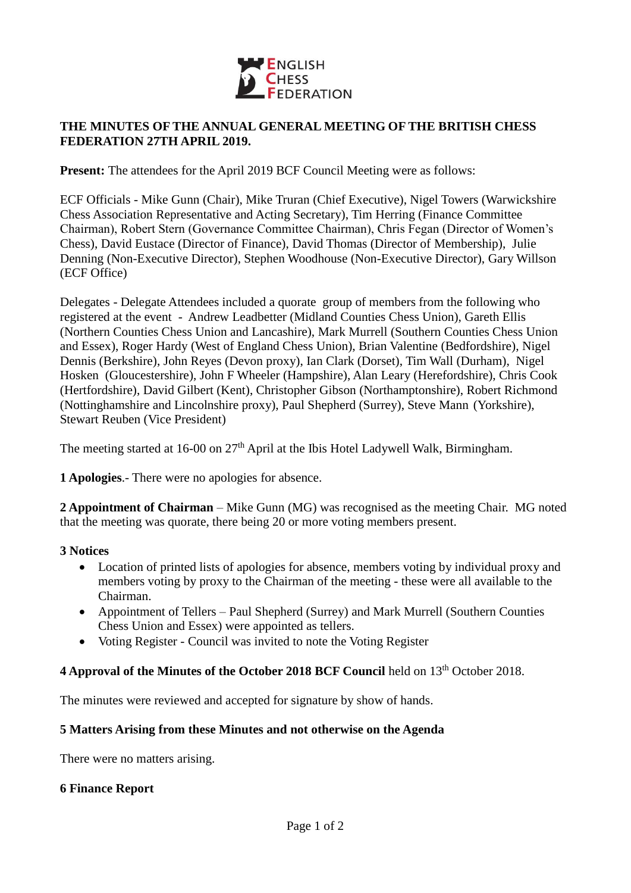

## **THE MINUTES OF THE ANNUAL GENERAL MEETING OF THE BRITISH CHESS FEDERATION 27TH APRIL 2019.**

**Present:** The attendees for the April 2019 BCF Council Meeting were as follows:

ECF Officials - Mike Gunn (Chair), Mike Truran (Chief Executive), Nigel Towers (Warwickshire Chess Association Representative and Acting Secretary), Tim Herring (Finance Committee Chairman), Robert Stern (Governance Committee Chairman), Chris Fegan (Director of Women's Chess), David Eustace (Director of Finance), David Thomas (Director of Membership), Julie Denning (Non-Executive Director), Stephen Woodhouse (Non-Executive Director), Gary Willson (ECF Office)

Delegates - Delegate Attendees included a quorate group of members from the following who registered at the event - Andrew Leadbetter (Midland Counties Chess Union), Gareth Ellis (Northern Counties Chess Union and Lancashire), Mark Murrell (Southern Counties Chess Union and Essex), Roger Hardy (West of England Chess Union), Brian Valentine (Bedfordshire), Nigel Dennis (Berkshire), John Reyes (Devon proxy), Ian Clark (Dorset), Tim Wall (Durham), Nigel Hosken (Gloucestershire), John F Wheeler (Hampshire), Alan Leary (Herefordshire), Chris Cook (Hertfordshire), David Gilbert (Kent), Christopher Gibson (Northamptonshire), Robert Richmond (Nottinghamshire and Lincolnshire proxy), Paul Shepherd (Surrey), Steve Mann (Yorkshire), Stewart Reuben (Vice President)

The meeting started at 16-00 on 27<sup>th</sup> April at the Ibis Hotel Ladywell Walk, Birmingham.

**1 Apologies**.- There were no apologies for absence.

**2 Appointment of Chairman** – Mike Gunn (MG) was recognised as the meeting Chair. MG noted that the meeting was quorate, there being 20 or more voting members present.

#### **3 Notices**

- Location of printed lists of apologies for absence, members voting by individual proxy and members voting by proxy to the Chairman of the meeting - these were all available to the Chairman.
- Appointment of Tellers Paul Shepherd (Surrey) and Mark Murrell (Southern Counties Chess Union and Essex) were appointed as tellers.
- Voting Register Council was invited to note the Voting Register

# **4 Approval of the Minutes of the October 2018 BCF Council held on 13<sup>th</sup> October 2018.**

The minutes were reviewed and accepted for signature by show of hands.

#### **5 Matters Arising from these Minutes and not otherwise on the Agenda**

There were no matters arising.

#### **6 Finance Report**